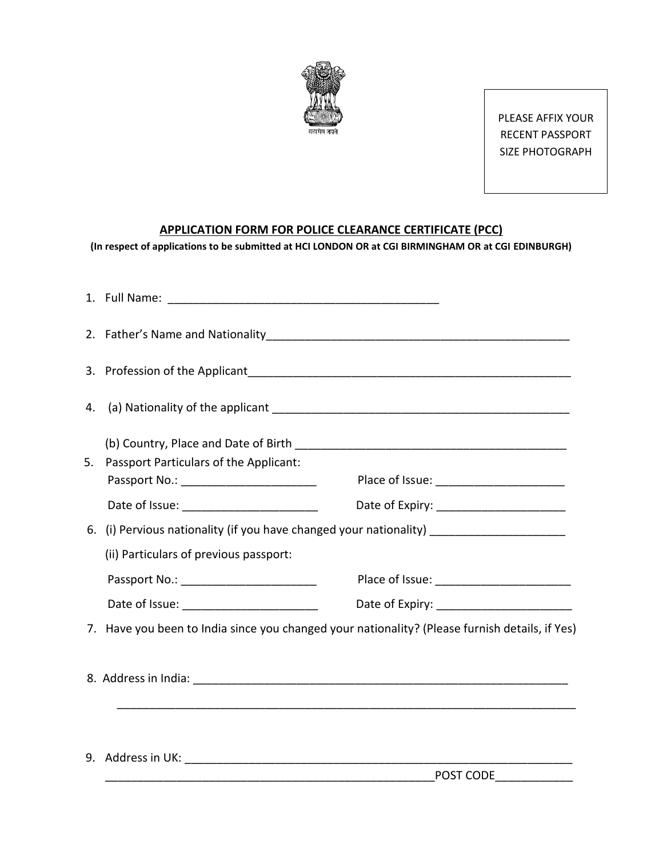

PLEASE AFFIX YOUR RECENT PASSPORT SIZE PHOTOGRAPH

## **APPLICATION FORM FOR POLICE CLEARANCE CERTIFICATE (PCC)**

**(In respect of applications to be submitted at HCI LONDON OR at CGI BIRMINGHAM OR at CGI EDINBURGH)**

| 4. |                                                                                                |
|----|------------------------------------------------------------------------------------------------|
| 5. | Passport Particulars of the Applicant:<br>Date of Expiry: __________________________           |
| 6. | (i) Pervious nationality (if you have changed your nationality) _______________________        |
|    | (ii) Particulars of previous passport:<br>Passport No.: ________________________               |
|    | 7. Have you been to India since you changed your nationality? (Please furnish details, if Yes) |
|    |                                                                                                |
|    |                                                                                                |